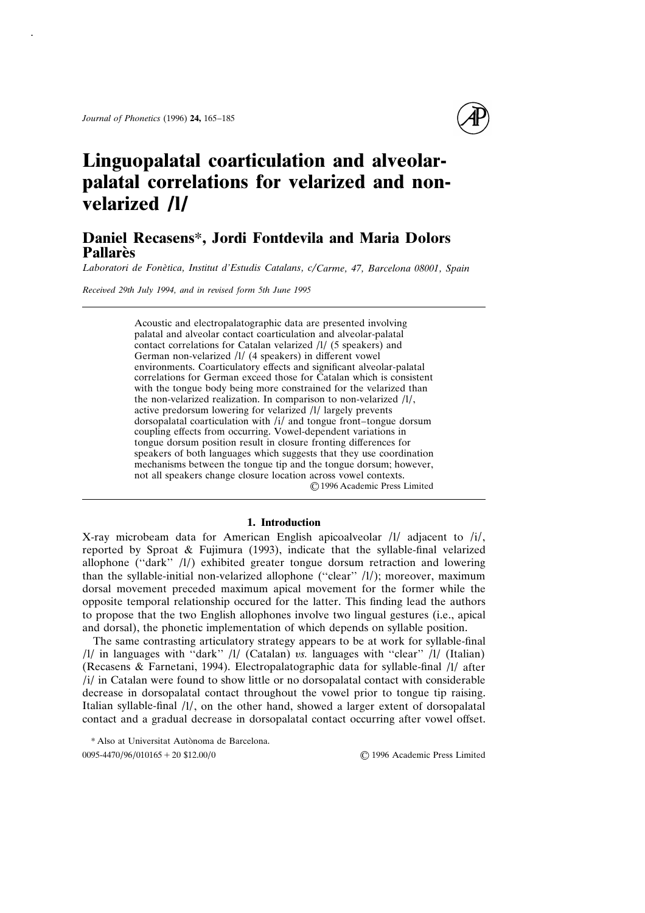# **Linguopalatal coarticulation and alveolar palatal correlations for velarized and non** *velarized* /l/

# **Daniel Recasens\* , Jordi Fontdevila and Maria Dolors Pallarès**

 *Laboratori de Fone` tica , Institut d ' Estudis Catalans , c / Carme , 4 7 , Barcelona 0 8 0 0 1 , Spain*

*Received 29th July 1994, and in revised form 5th June 1995* 

 Acoustic and electropalatographic data are presented involving palatal and alveolar contact coarticulation and alveolar-palatal contact correlations for Catalan velarized  $\frac{1}{7}$  (5 speakers) and German non-velarized  $\frac{1}{4}$  (4 speakers) in different vowel environments. Coarticulatory effects and significant alveolar-palatal correlations for German exceed those for Catalan which is consistent with the tongue body being more constrained for the velarized than the non-velarized realization. In comparison to non-velarized  $/1/$ . active predorsum lowering for velarized / l / largely prevents dorsopalatal coarticulation with /i/ and tongue front-tongue dorsum coupling effects from occurring. Vowel-dependent variations in tongue dorsum position result in closure fronting differences for speakers of both languages which suggests that they use coordination mechanisms between the tongue tip and the tongue dorsum; however, not all speakers change closure location across vowel contexts . ÷ 1996 Academic Press Limited

#### 1. Introduction

X-ray microbeam data for American English apicoalveolar  $|1|$  adjacent to  $|i|$ , reported by Sproat & Fujimura (1993), indicate that the syllable-final velarized allophone ("dark"  $\vert 1 \vert$ ) exhibited greater tongue dorsum retraction and lowering than the syllable-initial non-velarized allophone ("clear"  $/1$ ); moreover, maximum dorsal movement preceded maximum apical movement for the former while the opposite temporal relationship occured for the latter . This finding lead the authors to propose that the two English allophones involve two lingual gestures (i.e., apical and dorsal) , the phonetic implementation of which depends on syllable position .

 The same contrasting articulatory strategy appears to be at work for syllable-final /1/ in languages with "dark" /1/ (Catalan) *vs.* languages with "clear" /1/ (Italian) (Recasens & Farnetani, 1994). Electropalatographic data for syllable-final /l/ after  $\frac{1}{4}$  in Catalan were found to show little or no dorsopalatal contact with considerable decrease in dorsopalatal contact throughout the vowel prior to tongue tip raising. Italian syllable-final  $/1/$ , on the other hand, showed a larger extent of dorsopalatal contact and a gradual decrease in dorsopalatal contact occurring after vowel offset.

\* Also at Universitat Autònoma de Barcelona. 0095-4470/96/010165 + 20 \$12.00/0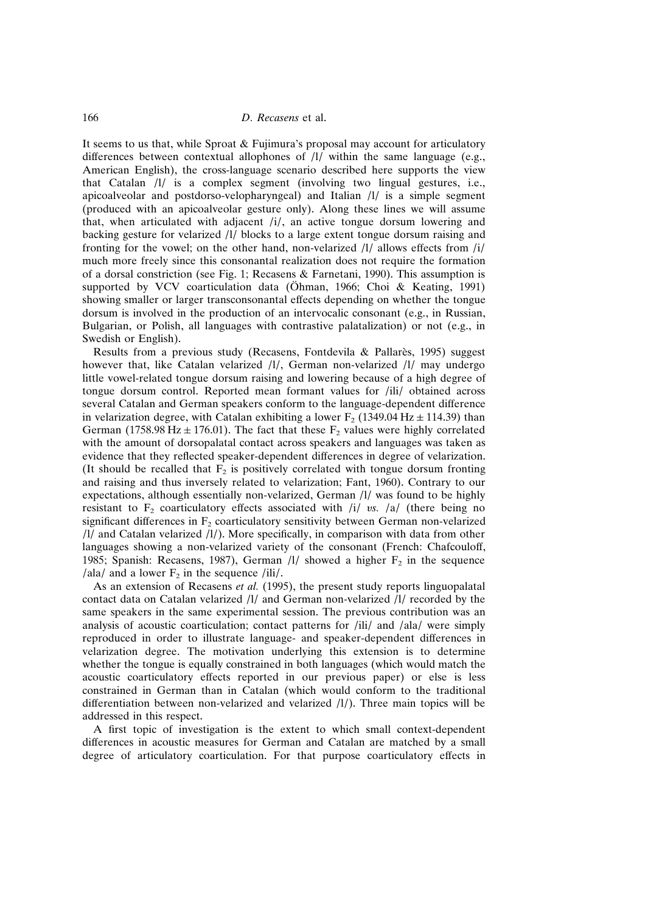It seems to us that, while Sproat & Fujimura's proposal may account for articulatory differences between contextual allophones of  $/1/$  within the same language (e.g., American English) , the cross-language scenario described here supports the view that Catalan  $\frac{1}{i}$  is a complex segment (involving two lingual gestures, i.e., apicoalveolar and postdorso-velopharyngeal) and Italian  $\frac{1}{i}$  is a simple segment (produced with an apicoalveolar gesture only) . Along these lines we will assume that, when articulated with adjacent  $/i$ , an active tongue dorsum lowering and backing gesture for velarized /l/ blocks to a large extent tongue dorsum raising and fronting for the vowel; on the other hand, non-velarized  $/1/$  allows effects from  $/1/$  much more freely since this consonantal realization does not require the formation of a dorsal constriction (see Fig. 1; Recasens  $\&$  Farnetani, 1990). This assumption is supported by VCV coarticulation data ( $\ddot{\text{Oh}}$ man, 1966; Choi & Keating, 1991) showing smaller or larger transconsonantal effects depending on whether the tongue dorsum is involved in the production of an intervocalic consonant (e.g., in Russian, Bulgarian, or Polish, all languages with contrastive palatalization) or not (e.g., in Swedish or English).

Results from a previous study (Recasens, Fontdevila & Pallarès, 1995) suggest however that, like Catalan velarized  $/l$ . German non-velarized  $/l$  may undergo little vowel-related tongue dorsum raising and lowering because of a high degree of tongue dorsum control. Reported mean formant values for /ili/ obtained across several Catalan and German speakers conform to the language-dependent difference in velarization degree, with Catalan exhibiting a lower  $F_2$  (1349.04 Hz  $\pm$  114.39) than German (1758.98 Hz  $\pm$  176.01). The fact that these F<sub>2</sub> values were highly correlated with the amount of dorsopalatal contact across speakers and languages was taken as evidence that they reflected speaker-dependent differences in degree of velarization. (It should be recalled that  $F_2$  is positively correlated with tongue dorsum fronting and raising and thus inversely related to velarization; Fant, 1960). Contrary to our expectations, although essentially non-velarized, German  $\frac{1}{1}$  was found to be highly resistant to  $F_2$  coarticulatory effects associated with  $/i / vs. / a /$  (there being no significant differences in  $F_2$  coarticulatory sensitivity between German non-velarized  $/1/$  and Catalan velarized  $/1/$ ). More specifically, in comparison with data from other languages showing a non-velarized variety of the consonant (French: Chafcouloff, 1985; Spanish: Recasens, 1987), German  $1/1$  showed a higher  $F_2$  in the sequence /ala/ and a lower  $F_2$  in the sequence /ili/.

As an extension of Recasens *et al.* (1995), the present study reports linguopalatal contact data on Catalan velarized  $/1/$  and German non-velarized  $/1/$  recorded by the same speakers in the same experimental session . The previous contribution was an analysis of acoustic coarticulation; contact patterns for /ili/ and /ala/ were simply reproduced in order to illustrate language- and speaker-dependent differences in velarization degree . The motivation underlying this extension is to determine whether the tongue is equally constrained in both languages (which would match the acoustic coarticulatory effects reported in our previous paper) or else is less constrained in German than in Catalan (which would conform to the traditional differentiation between non-velarized and velarized  $/1/$ ). Three main topics will be addressed in this respect.

 A first topic of investigation is the extent to which small context-dependent differences in acoustic measures for German and Catalan are matched by a small degree of articulatory coarticulation. For that purpose coarticulatory effects in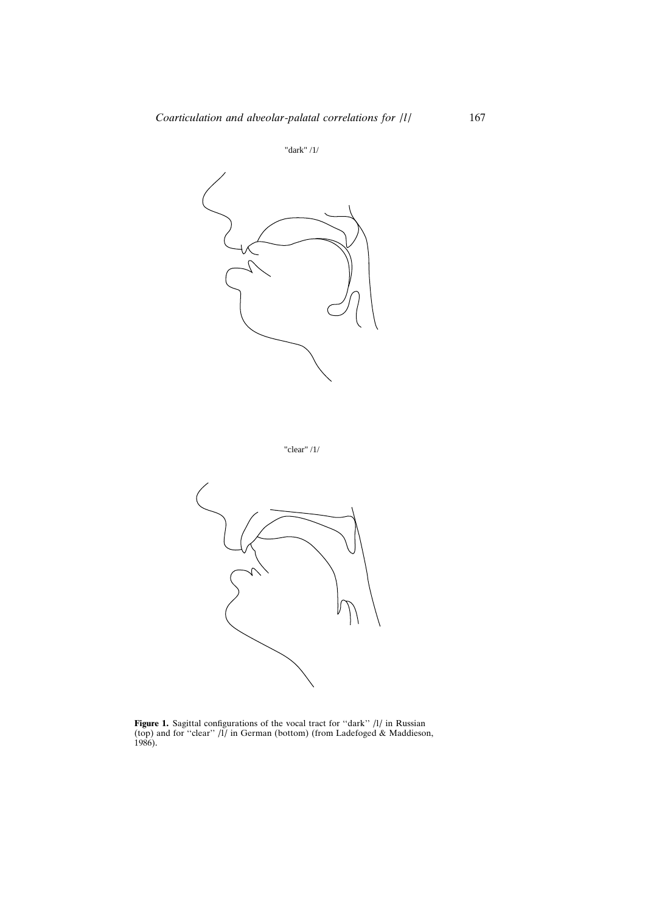





Figure 1. Sagittal configurations of the vocal tract for "dark" /l/ in Russian (top) and for "clear" /l/ in German (bottom) (from Ladefoged & Maddieson, 1986).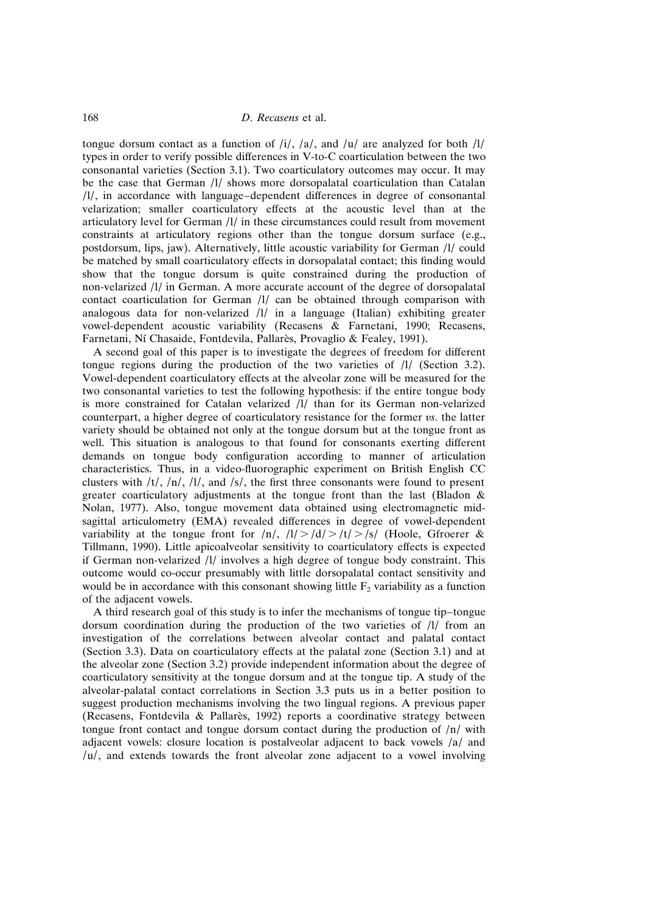tongue dorsum contact as a function of  $/i/$ ,  $/a/$ , and  $/u/$  are analyzed for both  $/l/$ types in order to verify possible differences in V-to-C coarticulation between the two consonantal varieties (Section 3.1). Two coarticulatory outcomes may occur. It may be the case that German /1/ shows more dorsopalatal coarticulation than Catalan  $\frac{1}{i}$ , in accordance with language-dependent differences in degree of consonantal velarization; smaller coarticulatory effects at the acoustic level than at the articulatory level for German  $/1/$  in these circumstances could result from movement constraints at articulatory regions other than the tongue dorsum surface  $(e.g.,)$ postdorsum, lips, jaw). Alternatively, little acoustic variability for German  $/1/$  could be matched by small coarticulatory effects in dorsopalatal contact; this finding would show that the tongue dorsum is quite constrained during the production of non-velarized /l/ in German. A more accurate account of the degree of dorsopalatal contact coarticulation for German  $/1/$  can be obtained through comparison with analogous data for non-velarized  $\frac{1}{i}$  in a language (Italian) exhibiting greater vowel-dependent acoustic variability (Recasens  $\&$  Farnetani, 1990; Recasens, Farnetani, Ní Chasaide, Fontdevila, Pallarès, Provaglio & Fealey, 1991).

A second goal of this paper is to investigate the degrees of freedom for different tongue regions during the production of the two varieties of  $\frac{1}{1}$  (Section 3.2). Vowel-dependent coarticulatory ef fects at the alveolar zone will be measured for the two consonantal varieties to test the following hypothesis : if the entire tongue body is more constrained for Catalan velarized  $/1/$  than for its German non-velarized counterpart, a higher degree of coarticulatory resistance for the former *vs*. the latter variety should be obtained not only at the tongue dorsum but at the tongue front as well. This situation is analogous to that found for consonants exerting different demands on tongue body configuration according to manner of articulation characteristics . Thus , in a video-fluorographic experiment on British English CC clusters with  $/t/$ ,  $/n/$ ,  $/l/$ , and  $/s/$ , the first three consonants were found to present greater coarticulatory adjustments at the tongue front than the last (Bladon & Nolan, 1977). Also, tongue movement data obtained using electromagnetic midsagittal articulometry (EMA) revealed differences in degree of vowel-dependent variability at the tongue front for  $/n/$ ,  $|1| > |d| > |t| > |s|$  (Hoole, Gfroerer & Tillmann, 1990). Little apicoalveolar sensitivity to coarticulatory effects is expected if German non-velarized /l/ involves a high degree of tongue body constraint. This outcome would co-occur presumably with little dorsopalatal contact sensitivity and would be in accordance with this consonant showing little  $F_2$  variability as a function of the adjacent vowels.

 A third research goal of this study is to infer the mechanisms of tongue tip – tongue dorsum coordination during the production of the two varieties of /1/ from an investigation of the correlations between alveolar contact and palatal contact (Section 3.3). Data on coarticulatory effects at the palatal zone (Section 3.1) and at the alveolar zone (Section 3.2) provide independent information about the degree of coarticulatory sensitivity at the tongue dorsum and at the tongue tip . A study of the alveolar-palatal contact correlations in Section 3.3 puts us in a better position to suggest production mechanisms involving the two lingual regions . A previous paper (Recasens, Fontdevila & Pallarès, 1992) reports a coordinative strategy between tongue front contact and tongue dorsum contact during the production of  $/n/$  with adjacent vowels: closure location is postalveolar adjacent to back vowels  $\alpha$  and  $/u/$ , and extends towards the front alveolar zone adjacent to a vowel involving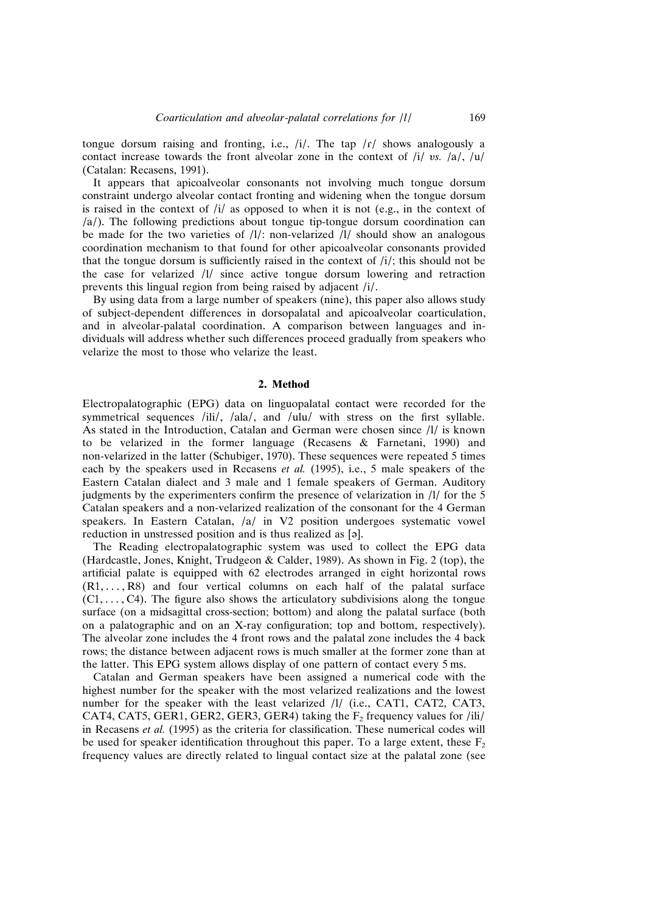tongue dorsum raising and fronting, i.e.,  $/i/$ . The tap  $/r/$  shows analogously a contact increase towards the front alveolar zone in the context of  $\frac{1}{l}$  *vs.*  $\frac{1}{a}$ ,  $\frac{1}{u}$ (Catalan: Recasens, 1991).

 It appears that apicoalveolar consonants not involving much tongue dorsum constraint undergo alveolar contact fronting and widening when the tongue dorsum is raised in the context of  $\frac{1}{4}$  as opposed to when it is not (e.g., in the context of  $\langle a \rangle$ . The following predictions about tongue tip-tongue dorsum coordination can be made for the two varieties of  $/l$ : non-velarized  $/l$  should show an analogous coordination mechanism to that found for other apicoalveolar consonants provided that the tongue dorsum is sufficiently raised in the context of  $j_1$ ; this should not be the case for velarized  $\frac{1}{2}$  since active tongue dorsum lowering and retraction prevents this lingual region from being raised by adjacent  $/i$ .

 By using data from a large number of speakers (nine) , this paper also allows study of subject-dependent differences in dorsopalatal and apicoalveolar coarticulation, and in alveolar-palatal coordination . A comparison between languages and in dividuals will address whether such differences proceed gradually from speakers who velarize the most to those who velarize the least.

#### 2. Method

 Electropalatographic (EPG) data on linguopalatal contact were recorded for the symmetrical sequences /ili/, /ala/, and /ulu/ with stress on the first syllable. As stated in the Introduction, Catalan and German were chosen since  $\frac{1}{i}$  is known to be velarized in the former language (Recasens  $\&$  Farnetani, 1990) and non-velarized in the latter (Schubiger, 1970). These sequences were repeated 5 times each by the speakers used in Recasens *et al.* (1995), i.e., 5 male speakers of the Eastern Catalan dialect and 3 male and 1 female speakers of German . Auditory judgments by the experimenters confirm the presence of velarization in  $\frac{1}{l}$  for the 5 Catalan speakers and a non-velarized realization of the consonant for the 4 German speakers. In Eastern Catalan,  $|a|$  in V2 position undergoes systematic vowel reduction in unstressed position and is thus realized as [ə].

 The Reading electropalatographic system was used to collect the EPG data (Hardcastle, Jones, Knight, Trudgeon & Calder, 1989). As shown in Fig. 2 (top), the artificial palate is equipped with 62 electrodes arranged in eight horizontal rows  $(R1, \ldots, R8)$  and four vertical columns on each half of the palatal surface  $(C_1, \ldots, C_4)$ . The figure also shows the articulatory subdivisions along the tongue surface (on a midsagittal cross-section; bottom) and along the palatal surface (both on a palatographic and on an X-ray configuration; top and bottom, respectively). The alveolar zone includes the 4 front rows and the palatal zone includes the 4 back rows ; the distance between adjacent rows is much smaller at the former zone than at the latter. This EPG system allows display of one pattern of contact every 5 ms.

 Catalan and German speakers have been assigned a numerical code with the highest number for the speaker with the most velarized realizations and the lowest number for the speaker with the least velarized  $/1/$  (i.e., CAT1, CAT2, CAT3, CAT4, CAT5, GER1, GER2, GER3, GER4) taking the  $F_2$  frequency values for /ili/ in Recasens *et al.* (1995) as the criteria for classification. These numerical codes will be used for speaker identification throughout this paper. To a large extent, these  $F_2$ frequency values are directly related to lingual contact size at the palatal zone (see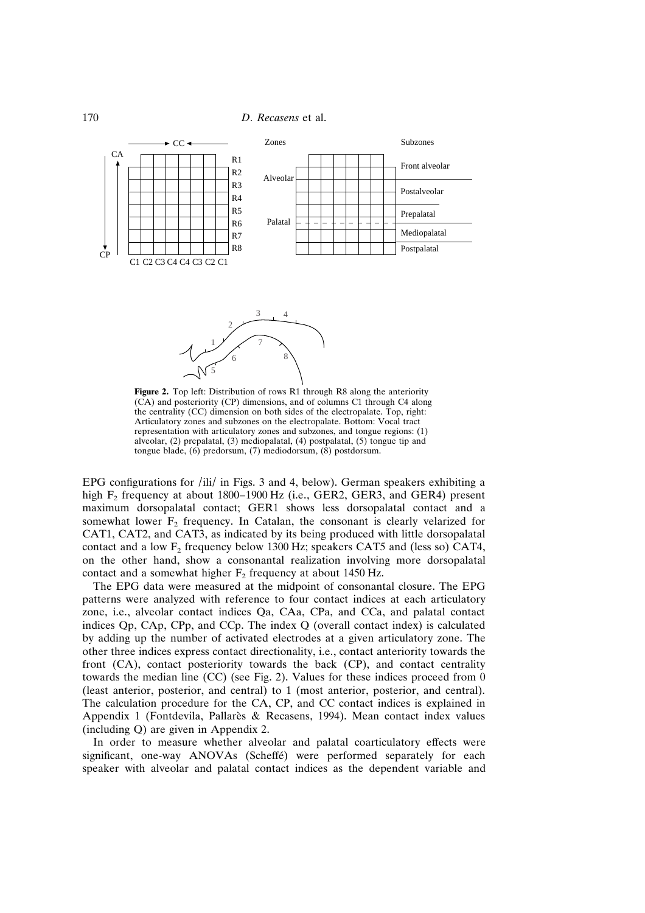170 *D . Recasens* et al .



Figure 2. Top left: Distribution of rows R1 through R8 along the anteriority (CA) and posteriority (CP) dimensions , and of columns C1 through C4 along the centrality  $(CC)$  dimension on both sides of the electropalate. Top, right: Articulatory zones and subzones on the electropalate. Bottom: Vocal tract representation with articulatory zones and subzones, and tongue regions: (1) alveolar,  $(2)$  prepalatal,  $(3)$  mediopalatal,  $(4)$  postpalatal,  $(5)$  tongue tip and tongue blade, (6) predorsum, (7) mediodorsum, (8) postdorsum.

EPG configurations for /ili/ in Figs. 3 and 4, below). German speakers exhibiting a high  $F<sub>2</sub>$  frequency at about 1800–1900 Hz (i.e., GER2, GER3, and GER4) present maximum dorsopalatal contact ; GER1 shows less dorsopalatal contact and a somewhat lower  $F_2$  frequency. In Catalan, the consonant is clearly velarized for CAT1, CAT2, and CAT3, as indicated by its being produced with little dorsopalatal contact and a low  $F_2$  frequency below 1300 Hz; speakers CAT5 and (less so) CAT4, on the other hand, show a consonantal realization involving more dorsopalatal contact and a somewhat higher  $F_2$  frequency at about 1450 Hz.

 The EPG data were measured at the midpoint of consonantal closure . The EPG patterns were analyzed with reference to four contact indices at each articulatory zone, i.e., alveolar contact indices Qa, CAa, CPa, and CCa, and palatal contact indices  $Qp$ ,  $CAp$ ,  $CPp$ , and  $CCP$ . The index  $Q$  (overall contact index) is calculated by adding up the number of activated electrodes at a given articulatory zone . The other three indices express contact directionality, i.e., contact anteriority towards the front (CA), contact posteriority towards the back (CP), and contact centrality towards the median line  $(CC)$  (see Fig. 2). Values for these indices proceed from 0 (least anterior, posterior, and central) to 1 (most anterior, posterior, and central). The calculation procedure for the CA, CP, and CC contact indices is explained in Appendix 1 (Fontdevila, Pallarès & Recasens, 1994). Mean contact index values (including Q) are given in Appendix 2.

In order to measure whether alveolar and palatal coarticulatory effects were significant, one-way ANOVAs (Scheffé) were performed separately for each speaker with alveolar and palatal contact indices as the dependent variable and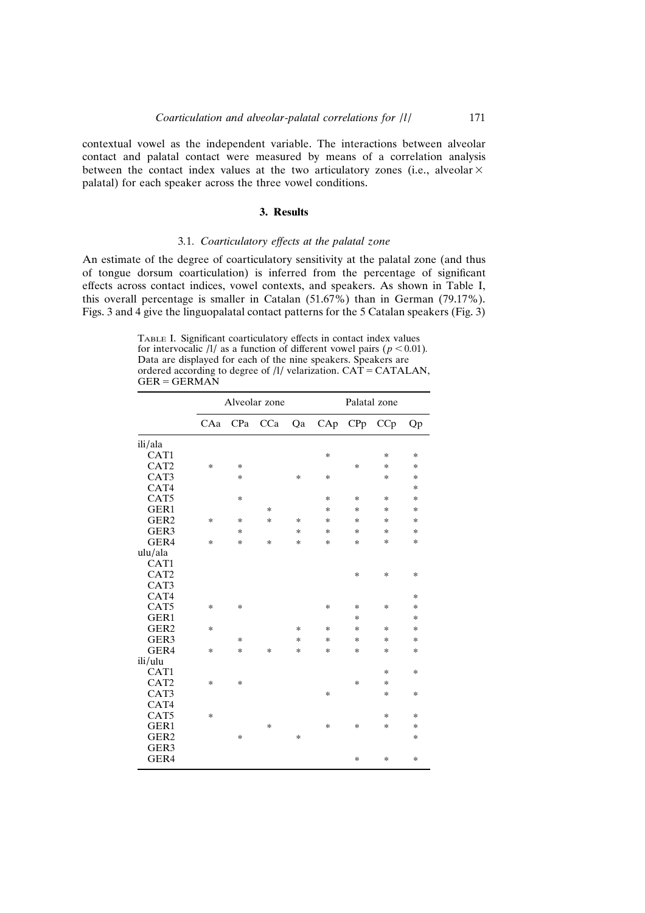contextual vowel as the independent variable . The interactions between alveolar contact and palatal contact were measured by means of a correlation analysis between the contact index values at the two articulatory zones (i.e., alveolar  $\times$ palatal) for each speaker across the three vowel conditions.

#### **3. Results**

# 3 *.* 1 *. Coarticulatory ef fects at the palatal zone*

 An estimate of the degree of coarticulatory sensitivity at the palatal zone (and thus of tongue dorsum coarticulation) is inferred from the percentage of significant effects across contact indices, vowel contexts, and speakers. As shown in Table I, this overall percentage is smaller in Catalan  $(51.67%)$  than in German  $(79.17%)$ . Figs. 3 and 4 give the linguopalatal contact patterns for the 5 Catalan speakers (Fig. 3)

TABLE I. Significant coarticulatory effects in contact index values for intervocalic  $\frac{1}{l}$  as a function of different vowel pairs ( $p < 0.01$ )*.*  Data are displayed for each of the nine speakers . Speakers are ordered according to degree of  $\frac{1}{1}$  velarization. CAT = CATALAN,  $GER = GERMAN$ 

|                  |        | Alveolar zone |        |        | Palatal zone   |        |        |        |
|------------------|--------|---------------|--------|--------|----------------|--------|--------|--------|
|                  | CAa    | CPa           | CCa    | Qa     | $\mathsf{CAP}$ | CPp    | CCp    | Qp     |
| ili/ala          |        |               |        |        |                |        |        |        |
| CAT <sub>1</sub> |        |               |        |        | $\ast$         |        | $\ast$ | $\ast$ |
| CAT <sub>2</sub> | $\ast$ | $\ast$        |        |        |                | $\ast$ | $\ast$ | $\ast$ |
| CAT3             |        | $\ast$        |        | $\ast$ | $\ast$         |        | $\ast$ | $\ast$ |
| CAT <sub>4</sub> |        |               |        |        |                |        |        | $\ast$ |
| CAT <sub>5</sub> |        | $\ast$        |        |        | ∗              | $\ast$ | $\ast$ | $\ast$ |
| GER1             |        |               | $\ast$ |        | ∗              | $\ast$ | $\ast$ | $\ast$ |
| GER <sub>2</sub> | $\ast$ | $\ast$        | $\ast$ | $\ast$ | $\ast$         | $\ast$ | $\ast$ | $\ast$ |
| GER <sub>3</sub> |        | $\ast$        |        | $\ast$ | $\ast$         | $\ast$ | $\ast$ | $\ast$ |
| GER4             | $\ast$ | $\ast$        | $\ast$ | $\ast$ | $\ast$         | $\ast$ | $\ast$ | $\ast$ |
| ulu/ala          |        |               |        |        |                |        |        |        |
| CAT <sub>1</sub> |        |               |        |        |                |        |        |        |
| CAT <sub>2</sub> |        |               |        |        |                | $\ast$ | $\ast$ | $\ast$ |
| CAT3             |        |               |        |        |                |        |        |        |
| CAT <sub>4</sub> |        |               |        |        |                |        |        | $\ast$ |
| CAT <sub>5</sub> | $\ast$ | $\ast$        |        |        | $\ast$         | $\ast$ | $\ast$ | $\ast$ |
| GER1             |        |               |        |        |                | $\ast$ |        | $\ast$ |
| GER <sub>2</sub> | $\ast$ |               |        | $\ast$ | $\ast$         | $\ast$ | $\ast$ | $\ast$ |
| GER <sub>3</sub> |        | $\ast$        |        | $\ast$ | $\ast$         | $\ast$ | $\ast$ | $\ast$ |
| GER4             | $\ast$ | $\ast$        | $\ast$ | $\ast$ | $\ast$         | $\ast$ | $\ast$ | $\ast$ |
| ili/ulu          |        |               |        |        |                |        |        |        |
| CAT <sub>1</sub> |        |               |        |        |                |        | $\ast$ | $\ast$ |
| CAT <sub>2</sub> | $\ast$ | $\ast$        |        |        |                | $\ast$ | $\ast$ |        |
| CAT3             |        |               |        |        | $\ast$         |        | $\ast$ | $\ast$ |
| CAT <sub>4</sub> |        |               |        |        |                |        |        |        |
| CAT <sub>5</sub> | $\ast$ |               |        |        |                |        | $\ast$ | $\ast$ |
| GER1             |        |               | $\ast$ |        | $\ast$         | $\ast$ | $\ast$ | $\ast$ |
| GER <sub>2</sub> |        | $\ast$        |        | $\ast$ |                |        |        | $\ast$ |
| GER3             |        |               |        |        |                |        |        |        |
| GER4             |        |               |        |        |                | $\ast$ | $\ast$ | $\ast$ |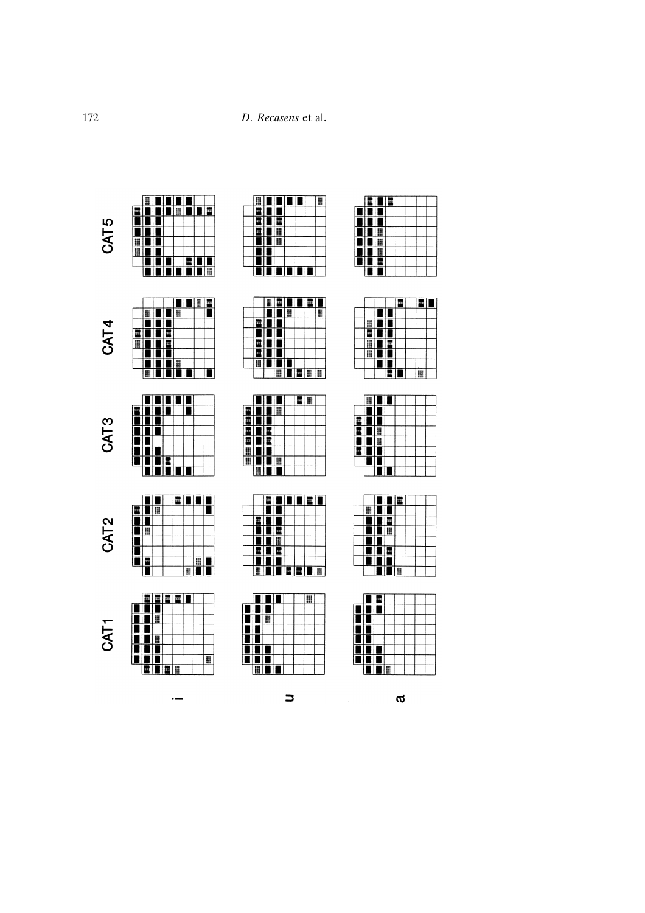

 $\Box$ 

 $\overline{\phantom{a}}$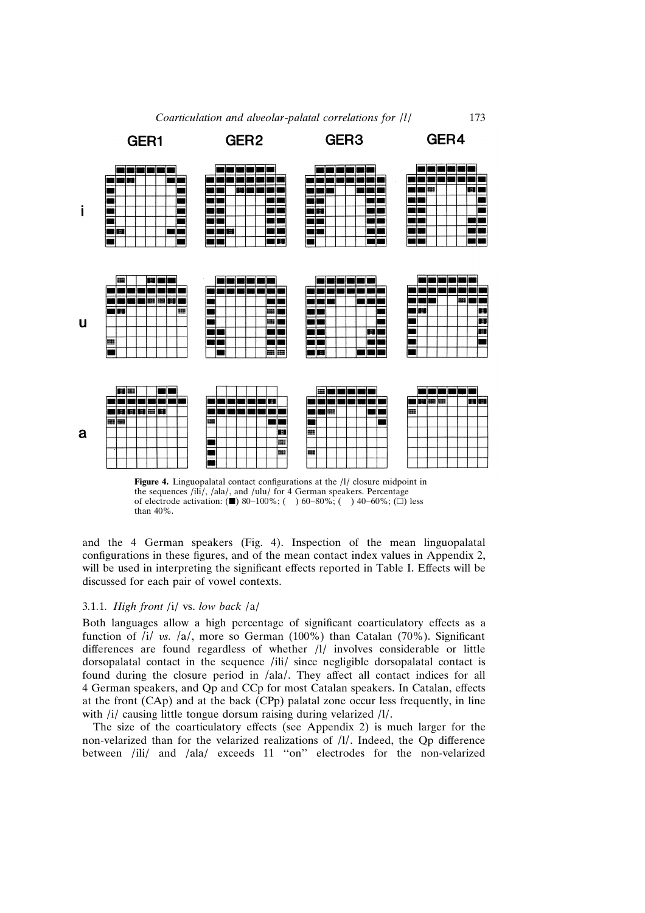GER<sub>3</sub> GFR4 GER<sub>2</sub> GER1 <u>imimimimimi</u> n jarja ja la ini alain in in in in in nimimimini ٦I nimir sis انسر اسر اسر اسر اسر اسر اسر m m m m m m سرزهم زهير mimi — n en — آ ۳ŀ  $\mathbf{i}$ ٦F  $\blacksquare$ ۰г ٦ı n r iar min mm a۰ T 76 **n** a n n ٦F ۳ł **All C** <u>im jas jas jas jas</u> an an an an an <u>minimimimi</u> in in minimini ni mini mini m <u>an an an an an an an an an </u> l mi mini m ۳ł ı m E Г **MARK** mm l۳  $\mathbf{u}$ E ma kon oo İ۳ inn ō۰ T l Sin l olim lan i ma <u>min</u> E n a **THE REA** l a la است است است است است است معراسين معراسين معراسي ا داد a ka ka **Test** n an an an Ba **SHI HIS** œ Ē a Ħ T m m П

**Figure 4.** Linguopalatal contact configurations at the  $\frac{1}{i}$  closure midpoint in the sequences /ili/, /ala/, and /ulu/ for 4 German speakers. Percentage of electrode activation:  $(\blacksquare)$  80-100%; ( ) 60-80%; ( ) 40-60%; ( $\square$ ) less than 40% .

and the 4 German speakers (Fig. 4). Inspection of the mean linguopalatal configurations in these figures, and of the mean contact index values in Appendix 2, will be used in interpreting the significant effects reported in Table I. Effects will be discussed for each pair of vowel contexts.

#### 3 *.* 1 *.* 1 *. High front* / i / vs . *low back* / a /

Both languages allow a high percentage of significant coarticulatory effects as a function of /i/ *vs.* /a/, more so German (100%) than Catalan (70%). Significant differences are found regardless of whether  $\frac{1}{1}$  involves considerable or little dorsopalatal contact in the sequence /ili/ since negligible dorsopalatal contact is found during the closure period in /ala/. They affect all contact indices for all 4 German speakers, and Qp and CCp for most Catalan speakers. In Catalan, effects at the front (CAp) and at the back (CPp) palatal zone occur less frequently , in line with  $\frac{1}{i}$  causing little tongue dorsum raising during velarized  $\frac{1}{i}$ .

The size of the coarticulatory effects (see Appendix 2) is much larger for the non-velarized than for the velarized realizations of  $/1/$ . Indeed, the Qp difference between /ili/ and /ala/ exceeds 11 "on" electrodes for the non-velarized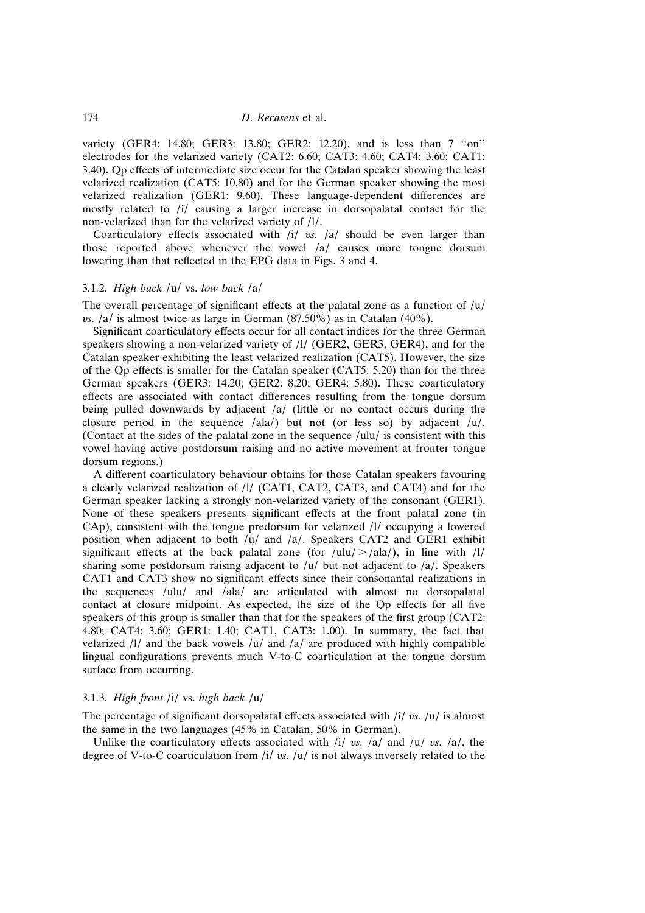variety (GER4: 14.80; GER3: 13.80; GER2: 12.20), and is less than 7 "on" electrodes for the velarized variety (CAT2: 6.60; CAT3: 4.60; CAT4: 3.60; CAT1: 3.40). Op effects of intermediate size occur for the Catalan speaker showing the least velarized realization (CAT5: 10.80) and for the German speaker showing the most velarized realization (GER1: 9.60). These language-dependent differences are mostly related to  $/i/$  causing a larger increase in dorsopalatal contact for the non-velarized than for the velarized variety of  $\mu$ .

Coarticulatory effects associated with /i/ *vs.* /a/ should be even larger than those reported above whenever the vowel  $|a|$  causes more tongue dorsum lowering than that reflected in the EPG data in Figs. 3 and 4.

#### 3 *.* 1 *.* 2 *. High back* / u / vs . *low back* /a /

The overall percentage of significant effects at the palatal zone as a function of  $|u|$ *vs.*  $\langle a \rangle$  is almost twice as large in German  $(87.50\%)$  as in Catalan  $(40\%)$ .

Significant coarticulatory effects occur for all contact indices for the three German speakers showing a non-velarized variety of  $/1/$  (GER2, GER3, GER4), and for the Catalan speaker exhibiting the least velarized realization (CAT5). However, the size of the Qp effects is smaller for the Catalan speaker (CAT5: 5.20) than for the three German speakers (GER3: 14.20; GER2: 8.20; GER4: 5.80). These coarticulatory effects are associated with contact differences resulting from the tongue dorsum being pulled downwards by adjacent  $\frac{a}{l}$  (little or no contact occurs during the closure period in the sequence  $/ala/$  but not (or less so) by adjacent  $/u/$ . (Contact at the sides of the palatal zone in the sequence / ulu / is consistent with this vowel having active postdorsum raising and no active movement at fronter tongue dorsum regions.)

A different coarticulatory behaviour obtains for those Catalan speakers favouring a clearly velarized realization of  $/1/$  (CAT1, CAT2, CAT3, and CAT4) and for the German speaker lacking a strongly non-velarized variety of the consonant (GER1) . None of these speakers presents significant effects at the front palatal zone (in CAp), consistent with the tongue predorsum for velarized  $\frac{1}{2}$  occupying a lowered position when adjacent to both  $/u/$  and  $/a/$ . Speakers CAT2 and GER1 exhibit significant effects at the back palatal zone (for  $/ \text{ulu} / > / \text{ala} /$ ), in line with  $/ \text{l} /$ sharing some postdorsum raising adjacent to  $\mu$  but not adjacent to  $\mu$ . Speakers CAT1 and CAT3 show no significant ef fects since their consonantal realizations in the sequences /ulu/ and /ala/ are articulated with almost no dorsopalatal contact at closure midpoint. As expected, the size of the Qp effects for all five speakers of this group is smaller than that for the speakers of the first group (CAT2: 4.80; CAT4: 3.60; GER1: 1.40; CAT1, CAT3: 1.00). In summary, the fact that velarized  $\frac{1}{4}$  and the back vowels  $\frac{1}{4}$  and  $\frac{1}{4}$  are produced with highly compatible lingual configurations prevents much V-to-C coarticulation at the tongue dorsum surface from occurring.

#### 3 *.* 1 *.* 3 *. High front* / i / vs . *high back* / u /

The percentage of significant dorsopalatal effects associated with /i/ *vs.* /u/ is almost the same in the two languages  $(45\%$  in Catalan,  $50\%$  in German).

Unlike the coarticulatory effects associated with  $\frac{1}{v}$  *i* vs.  $\frac{1}{a}$  and  $\frac{1}{u}$  *vs.*  $\frac{1}{a}$ , the degree of V-to-C coarticulation from  $\frac{1}{v}$  *ys.*  $\frac{1}{v}$  is not always inversely related to the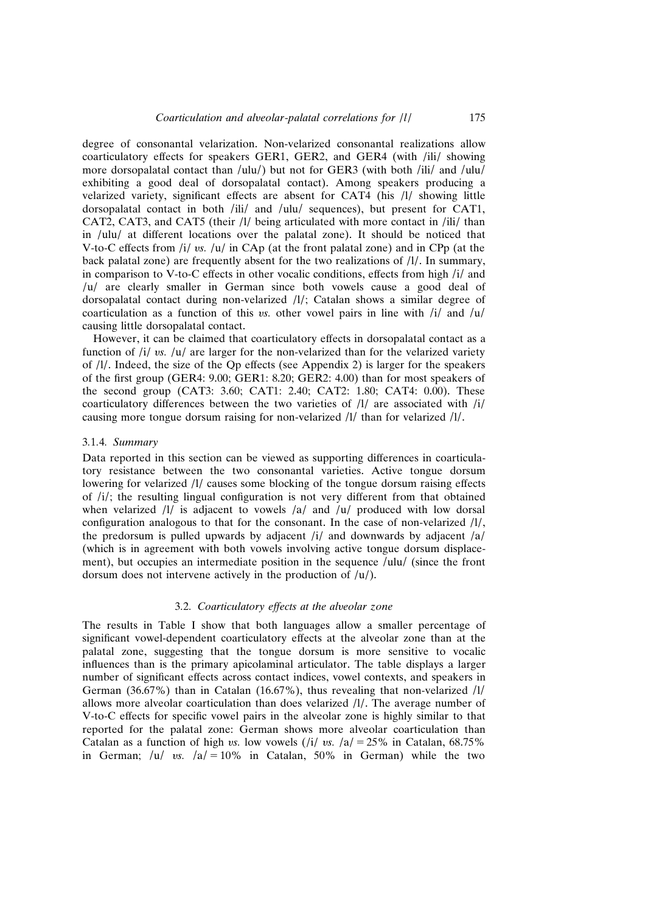degree of consonantal velarization . Non-velarized consonantal realizations allow coarticulatory effects for speakers GER1, GER2, and GER4 (with /ili/ showing more dorsopalatal contact than  $\langle \text{ulu} \rangle$  but not for GER3 (with both  $\langle \text{ili} \rangle$  and  $\langle \text{ulu} \rangle$ exhibiting a good deal of dorsopalatal contact). Among speakers producing a velarized variety, significant effects are absent for CAT4 (his /l/ showing little dorsopalatal contact in both /ili/ and /ulu/ sequences), but present for CAT1, CAT2, CAT3, and CAT5 (their  $\frac{1}{l}$  being articulated with more contact in  $\frac{1}{l}$  than in / ulu / at different locations over the palatal zone). It should be noticed that V-to-C effects from /i/ *vs.* /u/ in CAp (at the front palatal zone) and in CPp (at the back palatal zone) are frequently absent for the two realizations of  $/1/$ . In summary, in comparison to V-to-C effects in other vocalic conditions, effects from high  $/i$  and  $/u$  are clearly smaller in German since both vowels cause a good deal of dorsopalatal contact during non-velarized  $/1/$ ; Catalan shows a similar degree of coarticulation as a function of this *vs.* other vowel pairs in line with  $/i/$  and  $/u/$ causing little dorsopalatal contact.

However, it can be claimed that coarticulatory effects in dorsopalatal contact as a function of /i/ *vs.* /u/ are larger for the non-velarized than for the velarized variety of  $\frac{1}{l}$ . Indeed, the size of the Op effects (see Appendix 2) is larger for the speakers of the first group (GER4:  $9.00$ ; GER1:  $8.20$ ; GER2:  $4.00$ ) than for most speakers of the second group (CAT3: 3.60; CAT1: 2.40; CAT2: 1.80; CAT4: 0.00). These coarticulatory differences between the two varieties of  $/1/$  are associated with  $/1/$ causing more tongue dorsum raising for non-velarized  $/1/$  than for velarized  $/1/$ .

#### 3 *.* 1 *.* 4 *. Summary*

Data reported in this section can be viewed as supporting differences in coarticula tory resistance between the two consonantal varieties . Active tongue dorsum lowering for velarized  $\frac{1}{2}$  causes some blocking of the tongue dorsum raising effects of  $/i$ ; the resulting lingual configuration is not very different from that obtained when velarized  $\frac{1}{i}$  is adjacent to vowels  $\frac{1}{i}$  and  $\frac{1}{i}$  produced with low dorsal configuration analogous to that for the consonant. In the case of non-velarized  $/1/$ , the predorsum is pulled upwards by adjacent  $/i/$  and downwards by adjacent  $/a/$  (which is in agreement with both vowels involving active tongue dorsum displace ment), but occupies an intermediate position in the sequence /ulu/ (since the front dorsum does not intervene actively in the production of  $/u$ .

#### 3 *.* 2 *. Coarticulatory ef fects at the al*y *eolar zone*

 The results in Table I show that both languages allow a smaller percentage of significant vowel-dependent coarticulatory effects at the alveolar zone than at the palatal zone, suggesting that the tongue dorsum is more sensitive to vocalic influences than is the primary apicolaminal articulator. The table displays a larger number of significant effects across contact indices, vowel contexts, and speakers in German (36.67%) than in Catalan (16.67%), thus revealing that non-velarized  $/1/$ allows more alveolar coarticulation than does velarized  $/1/$ . The average number of V-to-C effects for specific vowel pairs in the alveolar zone is highly similar to that reported for the palatal zone: German shows more alveolar coarticulation than Catalan as a function of high *vs.* low vowels  $(i / \nu s$ .  $/a = 25\%$  in Catalan, 68.75% in German;  $/u / vs. /a / = 10\%$  in Catalan, 50% in German) while the two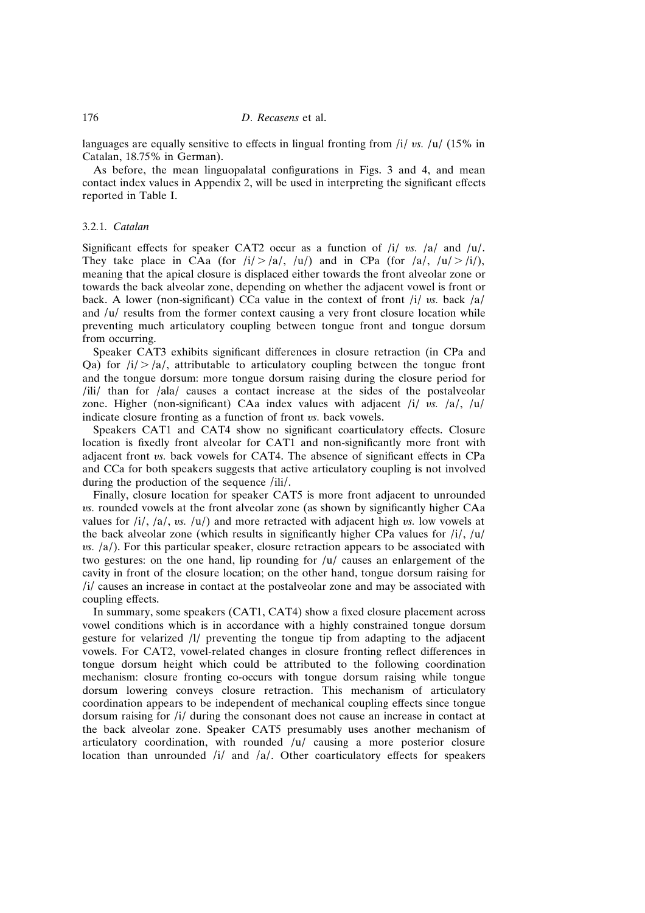languages are equally sensitive to effects in lingual fronting from /i/ vs. /u/ (15% in Catalan, 18.75% in German).

As before, the mean linguopalatal configurations in Figs. 3 and 4, and mean contact index values in Appendix 2, will be used in interpreting the significant effects reported in Table I.

# 3 *.* 2 *.* 1 *. Catalan*

Significant effects for speaker CAT2 occur as a function of /i/ *vs.* /a/ and /u/. They take place in CAa (for  $|i| > |a|$ ,  $|u|$ ) and in CPa (for  $|a|$ ,  $|u| > |i|$ ), meaning that the apical closure is displaced either towards the front alveolar zone or towards the back alveolar zone , depending on whether the adjacent vowel is front or back. A lower (non-significant) CCa value in the context of front /i/ *vs.* back /a/ and  $/u$  results from the former context causing a very front closure location while preventing much articulatory coupling between tongue front and tongue dorsum from occurring.

Speaker CAT3 exhibits significant differences in closure retraction (in CPa and Qa) for  $\langle i \rangle > \langle a \rangle$ , attributable to articulatory coupling between the tongue front and the tongue dorsum : more tongue dorsum raising during the closure period for  $\frac{\partial u}{\partial t}$  than for  $\frac{\partial u}{\partial t}$  causes a contact increase at the sides of the postalveolar zone. Higher (non-significant) CAa index values with adjacent  $/i / vs. /a /$ ,  $/u /$ indicate closure fronting as a function of front *vs*. back vowels.

Speakers CAT1 and CAT4 show no significant coarticulatory effects. Closure location is fixedly front alveolar for CAT1 and non-significantly more front with adjacent front vs. back vowels for CAT4. The absence of significant effects in CPa and CCa for both speakers suggests that active articulatory coupling is not involved during the production of the sequence /ili/.

Finally, closure location for speaker CAT5 is more front adjacent to unrounded <sup>y</sup> *s .* rounded vowels at the front alveolar zone (as shown by significantly higher CAa values for  $/i$ ,  $/a$ ,  $vs.$   $/u$ ) and more retracted with adjacent high *vs*. low vowels at the back alveolar zone (which results in significantly higher CPa values for  $\frac{i}{\ell}, \frac{u}{u}$ *vs.* /a/). For this particular speaker, closure retraction appears to be associated with two gestures: on the one hand, lip rounding for  $/u/$  causes an enlargement of the cavity in front of the closure location; on the other hand, tongue dorsum raising for  $\frac{1}{i}$  causes an increase in contact at the postalveolar zone and may be associated with coupling effects.

In summary, some speakers (CAT1, CAT4) show a fixed closure placement across vowel conditions which is in accordance with a highly constrained tongue dorsum gesture for velarized /l/ preventing the tongue tip from adapting to the adjacent vowels. For CAT2, vowel-related changes in closure fronting reflect differences in tongue dorsum height which could be attributed to the following coordination mechanism: closure fronting co-occurs with tongue dorsum raising while tongue dorsum lowering conveys closure retraction . This mechanism of articulatory coordination appears to be independent of mechanical coupling effects since tongue dorsum raising for  $/i/$  during the consonant does not cause an increase in contact at the back alveolar zone . Speaker CAT5 presumably uses another mechanism of articulatory coordination, with rounded  $/u/$  causing a more posterior closure location than unrounded  $/i/$  and  $/a/$ . Other coarticulatory effects for speakers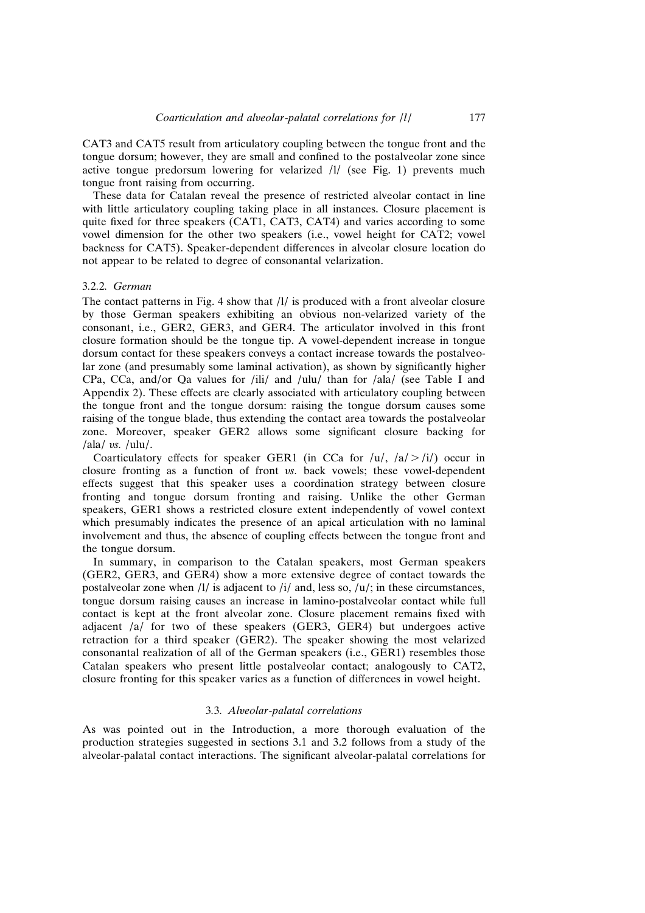CAT3 and CAT5 result from articulatory coupling between the tongue front and the tongue dorsum; however, they are small and confined to the postalveolar zone since active tongue predorsum lowering for velarized  $\frac{1}{\sqrt{2}}$  (see Fig. 1) prevents much tongue front raising from occurring.

 These data for Catalan reveal the presence of restricted alveolar contact in line with little articulatory coupling taking place in all instances. Closure placement is quite fixed for three speakers (CAT1, CAT3, CAT4) and varies according to some vowel dimension for the other two speakers (i.e., yowel height for CAT2; yowel backness for CAT5). Speaker-dependent differences in alveolar closure location do not appear to be related to degree of consonantal velarization .

#### 3 *.* 2 *.* 2 *. German*

The contact patterns in Fig. 4 show that  $/1/$  is produced with a front alveolar closure by those German speakers exhibiting an obvious non-velarized variety of the consonant, i.e., GER2, GER3, and GER4. The articulator involved in this front closure formation should be the tongue tip . A vowel-dependent increase in tongue dorsum contact for these speakers conveys a contact increase towards the postalveo lar zone (and presumably some laminal activation), as shown by significantly higher CPa, CCa, and/or Qa values for /ili/ and /ulu/ than for /ala/ (see Table I and Appendix 2). These effects are clearly associated with articulatory coupling between the tongue front and the tongue dorsum : raising the tongue dorsum causes some raising of the tongue blade, thus extending the contact area towards the postalveolar zone. Moreover, speaker GER2 allows some significant closure backing for /ala/ *vs.* /ulu/.

Coarticulatory effects for speaker GER1 (in CCa for  $|u|$ ,  $|a| > |i|$ ) occur in closure fronting as a function of front *vs*. back vowels; these vowel-dependent ef fects suggest that this speaker uses a coordination strategy between closure fronting and tongue dorsum fronting and raising. Unlike the other German speakers , GER1 shows a restricted closure extent independently of vowel context which presumably indicates the presence of an apical articulation with no laminal involvement and thus, the absence of coupling effects between the tongue front and the tongue dorsum.

In summary, in comparison to the Catalan speakers, most German speakers (GER2, GER3, and GER4) show a more extensive degree of contact towards the postalveolar zone when  $11/$  is adjacent to  $1/$  and, less so,  $/u$ ; in these circumstances, tongue dorsum raising causes an increase in lamino-postalveolar contact while full contact is kept at the front alveolar zone . Closure placement remains fixed with adjacent  $|a|$  for two of these speakers (GER3, GER4) but undergoes active retraction for a third speaker (GER2) . The speaker showing the most velarized consonantal realization of all of the German speakers (i.e., GER1) resembles those Catalan speakers who present little postalveolar contact; analogously to CAT2, closure fronting for this speaker varies as a function of differences in vowel height.

## 3 *.* 3 *. Al*y *eolar* - *palatal correlations*

As was pointed out in the Introduction, a more thorough evaluation of the production strategies suggested in sections 3.1 and 3.2 follows from a study of the alveolar-palatal contact interactions . The significant alveolar-palatal correlations for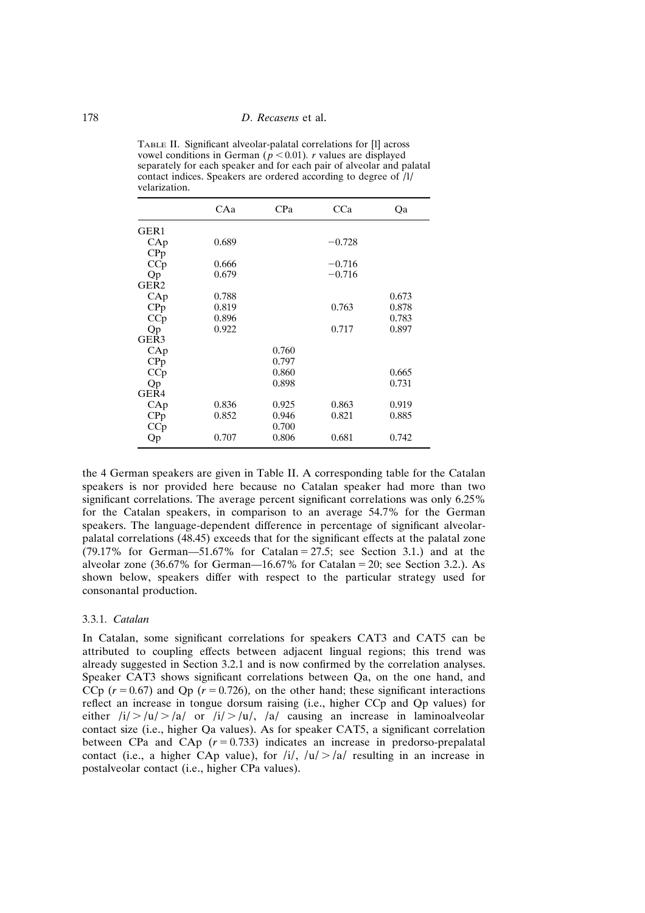|                                  | CAa   | CPa   | CCa      | Qa    |
|----------------------------------|-------|-------|----------|-------|
| GER1                             |       |       |          |       |
| $\mathsf{C}\mathsf{A}\mathsf{p}$ | 0.689 |       | $-0.728$ |       |
| CPp                              |       |       |          |       |
| CCp                              | 0.666 |       | $-0.716$ |       |
| Qp                               | 0.679 |       | $-0.716$ |       |
| GER <sub>2</sub>                 |       |       |          |       |
| $\mathsf{C}\mathsf{A}\mathsf{p}$ | 0.788 |       |          | 0.673 |
| CPp                              | 0.819 |       | 0.763    | 0.878 |
| CCp                              | 0.896 |       |          | 0.783 |
| Qp                               | 0.922 |       | 0.717    | 0.897 |
| GER <sub>3</sub>                 |       |       |          |       |
| $\mathsf{C}\mathsf{A}\mathsf{p}$ |       | 0.760 |          |       |
| CPp                              |       | 0.797 |          |       |
| CCp                              |       | 0.860 |          | 0.665 |
| Qp                               |       | 0.898 |          | 0.731 |
| GER4                             |       |       |          |       |
| $\mathsf{C}\mathsf{A}\mathsf{p}$ | 0.836 | 0.925 | 0.863    | 0.919 |
| CPp                              | 0.852 | 0.946 | 0.821    | 0.885 |
| CCp                              |       | 0.700 |          |       |
| Qp                               | 0.707 | 0.806 | 0.681    | 0.742 |

 TABLE II . Significant alveolar-palatal correlations for [l] across vowel conditions in German ( $\bar{p}$  < 0.01)*. r* values are displayed separately for each speaker and for each pair of alveolar and palatal contact indices. Speakers are ordered according to degree of  $\frac{1}{l}$ velarization .

 the 4 German speakers are given in Table II . A corresponding table for the Catalan speakers is nor provided here because no Catalan speaker had more than two significant correlations. The average percent significant correlations was only 6.25% for the Catalan speakers, in comparison to an average 54.7% for the German speakers. The language-dependent difference in percentage of significant alveolarpalatal correlations (48.45) exceeds that for the significant effects at the palatal zone  $(79.17\%$  for German—51.67% for Catalan = 27.5; see Section 3.1.) and at the alveolar zone  $(36.67\%$  for German—16.67% for Catalan = 20; see Section 3.2.). As shown below, speakers differ with respect to the particular strategy used for consonantal production.

#### 3 *.* 3 *.* 1 *. Catalan*

In Catalan, some significant correlations for speakers CAT3 and CAT5 can be attributed to coupling effects between adjacent lingual regions; this trend was already suggested in Section 3.2.1 and is now confirmed by the correlation analyses. Speaker CAT3 shows significant correlations between Qa, on the one hand, and CCp ( $r = 0.67$ ) and Qp ( $r = 0.726$ ), on the other hand; these significant interactions reflect an increase in tongue dorsum raising (i.e., higher CCp and Qp values) for either  $|i| > |u| > |a|$  or  $|i| > |u|$ ,  $|a|$  causing an increase in laminoalveolar contact size (i.e., higher Qa values). As for speaker CAT5, a significant correlation between CPa and CAp  $(r = 0.733)$  indicates an increase in predorso-prepalatal contact (i.e., a higher CAp value), for  $/i/$ ,  $/u/$  >/a/ resulting in an increase in postalveolar contact (i.e., higher CPa values).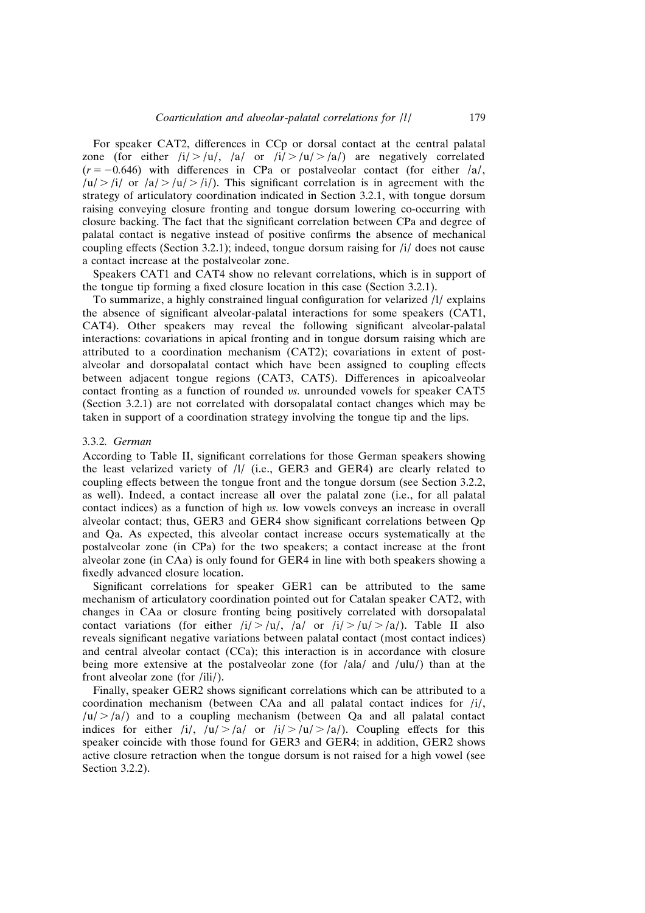For speaker CAT2, differences in CCp or dorsal contact at the central palatal zone (for either  $|i| > |u|$ ,  $|a|$  or  $|i| > |u| > |a|$ ) are negatively correlated  $(r = -0.646)$  with differences in CPa or postalveolar contact (for either /a/,  $|u| > |i|$  or  $|a| > |u| > |i|$ ). This significant correlation is in agreement with the strategy of articulatory coordination indicated in Section 3.2.1, with tongue dorsum raising conveying closure fronting and tongue dorsum lowering co-occurring with closure backing . The fact that the significant correlation between CPa and degree of palatal contact is negative instead of positive confirms the absence of mechanical coupling effects (Section 3.2.1); indeed, tongue dorsum raising for  $\frac{1}{4}$  does not cause a contact increase at the postalveolar zone.

 Speakers CAT1 and CAT4 show no relevant correlations , which is in support of the tongue tip forming a fixed closure location in this case (Section 3.2.1).

To summarize, a highly constrained lingual configuration for velarized  $\frac{1}{2}$  explains the absence of significant alveolar-palatal interactions for some speakers (CAT1 , CAT4) . Other speakers may reveal the following significant alveolar-palatal interactions : covariations in apical fronting and in tongue dorsum raising which are attributed to a coordination mechanism (CAT2) ; covariations in extent of post alveolar and dorsopalatal contact which have been assigned to coupling effects between adjacent tongue regions (CAT3, CAT5). Differences in apicoalveolar contact fronting as a function of rounded *vs.* unrounded vowels for speaker CAT5 (Section 3.2.1) are not correlated with dorsopalatal contact changes which may be taken in support of a coordination strategy involving the tongue tip and the lips .

#### 3 *.* 3 *.* 2 *. German*

 According to Table II , significant correlations for those German speakers showing the least velarized variety of  $/1/$  (i.e., GER3 and GER4) are clearly related to coupling effects between the tongue front and the tongue dorsum (see Section 3.2.2, as well). Indeed, a contact increase all over the palatal zone (i.e., for all palatal contact indices) as a function of high *vs*. low vowels conveys an increase in overall alveolar contact; thus, GER3 and GER4 show significant correlations between Qp and Qa. As expected, this alveolar contact increase occurs systematically at the postalveolar zone (in CPa) for the two speakers ; a contact increase at the front alveolar zone (in CAa) is only found for GER4 in line with both speakers showing a fixedly advanced closure location.

 Significant correlations for speaker GER1 can be attributed to the same mechanism of articulatory coordination pointed out for Catalan speaker CAT2 , with changes in CAa or closure fronting being positively correlated with dorsopalatal contact variations (for either  $/i$  /  $\nu$ ,  $|a|$  or  $|i| > |u| > |a|$ ). Table II also reveals significant negative variations between palatal contact (most contact indices) and central alveolar contact (CCa); this interaction is in accordance with closure being more extensive at the postalveolar zone (for  $/ala/$  and  $/ulu/$ ) than at the front alveolar zone (for  $/$ ili $/$ ).

Finally, speaker GER2 shows significant correlations which can be attributed to a coordination mechanism (between CAa and all palatal contact indices for  $/i/$ ,  $|u| > |a|$  and to a coupling mechanism (between Qa and all palatal contact indices for either  $|i|$ ,  $|u| > |a|$  or  $|i| > |u| > |a|$ ). Coupling effects for this speaker coincide with those found for GER3 and GER4; in addition, GER2 shows active closure retraction when the tongue dorsum is not raised for a high vowel (see Section 3.2.2).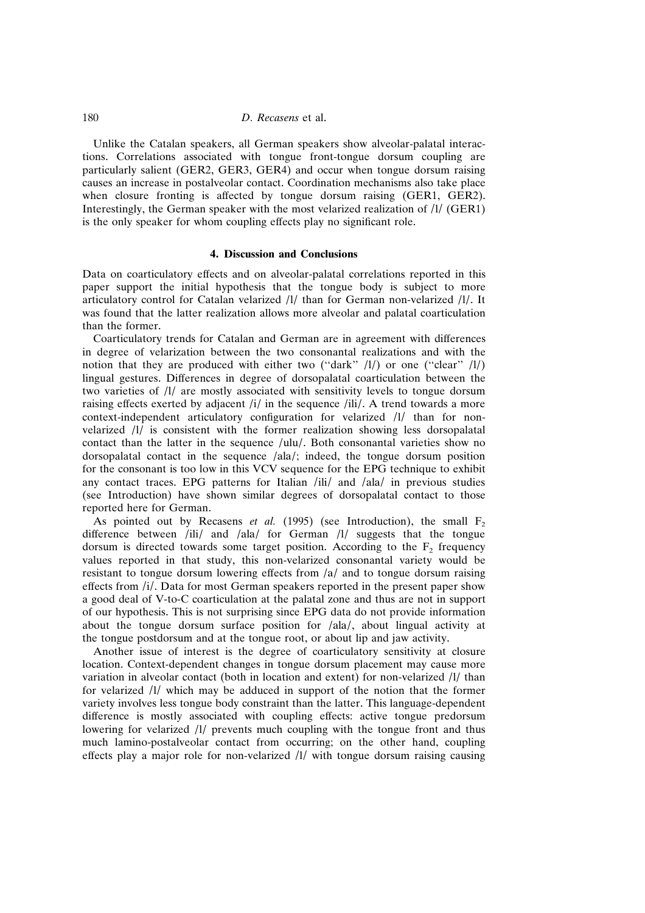Unlike the Catalan speakers , all German speakers show alveolar-palatal interac tions . Correlations associated with tongue front-tongue dorsum coupling are particularly salient (GER2, GER3, GER4) and occur when tongue dorsum raising causes an increase in postalveolar contact . Coordination mechanisms also take place when closure fronting is affected by tongue dorsum raising (GER1, GER2). Interestingly, the German speaker with the most velarized realization of  $/1/$  (GER1) is the only speaker for whom coupling effects play no significant role.

## **4 . Discussion and Conclusions**

Data on coarticulatory effects and on alveolar-palatal correlations reported in this paper support the initial hypothesis that the tongue body is subject to more articulatory control for Catalan velarized /l/ than for German non-velarized /l/. It was found that the latter realization allows more alveolar and palatal coarticulation than the former.

Coarticulatory trends for Catalan and German are in agreement with differences in degree of velarization between the two consonantal realizations and with the notion that they are produced with either two ("dark"  $\frac{1}{l}$ ) or one ("clear"  $\frac{1}{l}$ ) lingual gestures. Differences in degree of dorsopalatal coarticulation between the two varieties of /l/ are mostly associated with sensitivity levels to tongue dorsum raising effects exerted by adjacent  $/i/$  in the sequence  $/i/i/$ . A trend towards a more context-independent articulatory configuration for velarized  $/1/$  than for nonvelarized  $\frac{1}{i}$  is consistent with the former realization showing less dorsopalatal contact than the latter in the sequence /ulu/. Both consonantal varieties show no dorsopalatal contact in the sequence /ala/; indeed, the tongue dorsum position for the consonant is too low in this VCV sequence for the EPG technique to exhibit any contact traces. EPG patterns for Italian  $\frac{di}{dt}$  and  $\frac{d}{dt}$  in previous studies (see Introduction) have shown similar degrees of dorsopalatal contact to those reported here for German.

As pointed out by Recasens *et al.* (1995) (see Introduction), the small  $F_2$ difference between /ili/ and /ala/ for German /l/ suggests that the tongue dorsum is directed towards some target position. According to the  $F<sub>2</sub>$  frequency values reported in that study, this non-velarized consonantal variety would be resistant to tongue dorsum lowering effects from  $\frac{a}{a}$  and to tongue dorsum raising effects from  $/i$ . Data for most German speakers reported in the present paper show a good deal of V-to-C coarticulation at the palatal zone and thus are not in support of our hypothesis . This is not surprising since EPG data do not provide information about the tongue dorsum surface position for  $/ala/$ , about lingual activity at the tongue postdorsum and at the tongue root , or about lip and jaw activity .

 Another issue of interest is the degree of coarticulatory sensitivity at closure location. Context-dependent changes in tongue dorsum placement may cause more variation in alveolar contact (both in location and extent) for non-velarized  $\frac{1}{1}$  than for velarized  $\frac{1}{4}$  which may be adduced in support of the notion that the former variety involves less tongue body constraint than the latter. This language-dependent difference is mostly associated with coupling effects: active tongue predorsum lowering for velarized /l/ prevents much coupling with the tongue front and thus much lamino-postalveolar contact from occurring; on the other hand, coupling effects play a major role for non-velarized  $/1/$  with tongue dorsum raising causing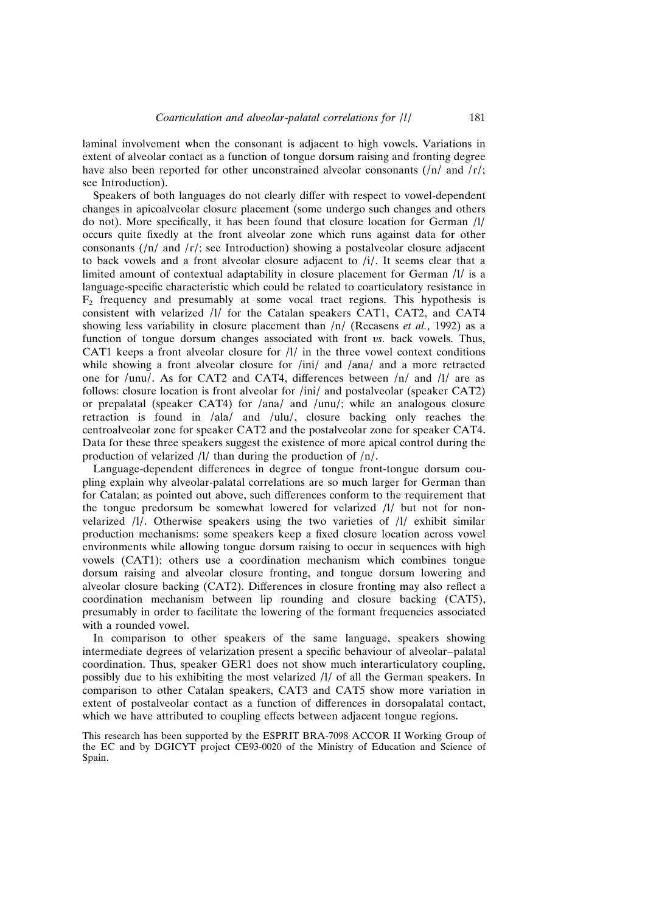laminal involvement when the consonant is adjacent to high vowels . Variations in extent of alveolar contact as a function of tongue dorsum raising and fronting degree have also been reported for other unconstrained alveolar consonants  $(|n|$  and  $|\n|$ ; see Introduction).

Speakers of both languages do not clearly differ with respect to vowel-dependent changes in apicoalveolar closure placement (some undergo such changes and others do not). More specifically, it has been found that closure location for German  $\frac{1}{l}$  occurs quite fixedly at the front alveolar zone which runs against data for other consonants ( $/n/$  and  $/r/$ ; see Introduction) showing a postalveolar closure adjacent to back vowels and a front alveolar closure adjacent to  $/i$ . It seems clear that a limited amount of contextual adaptability in closure placement for German  $\frac{1}{i}$  is a language-specific characteristic which could be related to coarticulatory resistance in  $F<sub>2</sub>$  frequency and presumably at some vocal tract regions. This hypothesis is consistent with velarized  $/1/$  for the Catalan speakers CAT1, CAT2, and CAT4 showing less variability in closure placement than  $/n/$  (Recasens *et al.*, 1992) as a function of tongue dorsum changes associated with front *vs*. back vowels. Thus, CAT1 keeps a front alveolar closure for  $/1/$  in the three vowel context conditions while showing a front alveolar closure for  $\ell$ ini $\ell$  and  $\ell$  and a more retracted one for /unu/. As for CAT2 and CAT4, differences between  $/n/$  and  $/l/$  are as follows: closure location is front alveolar for /ini/ and postalveolar (speaker CAT2) or prepalatal (speaker CAT4) for  $/$ ana $/$  and  $/$ unu $/$ ; while an analogous closure retraction is found in  $/al$ a and  $/ulu/$ , closure backing only reaches the centroalveolar zone for speaker CAT2 and the postalveolar zone for speaker CAT4 . Data for these three speakers suggest the existence of more apical control during the production of velarized  $\frac{1}{1}$  than during the production of  $\frac{1}{n}$ .

Language-dependent differences in degree of tongue front-tongue dorsum cou pling explain why alveolar-palatal correlations are so much larger for German than for Catalan; as pointed out above, such differences conform to the requirement that the tongue predorsum be somewhat lowered for velarized  $\frac{1}{1}$  but not for nonvelarized  $/1/$ . Otherwise speakers using the two varieties of  $/1/$  exhibit similar production mechanisms : some speakers keep a fixed closure location across vowel environments while allowing tongue dorsum raising to occur in sequences with high vowels (CAT1) ; others use a coordination mechanism which combines tongue dorsum raising and alveolar closure fronting , and tongue dorsum lowering and alveolar closure backing (CAT2). Differences in closure fronting may also reflect a coordination mechanism between lip rounding and closure backing (CAT5), presumably in order to facilitate the lowering of the formant frequencies associated with a rounded vowel.

In comparison to other speakers of the same language, speakers showing intermediate degrees of velarization present a specific behaviour of alveolar – palatal coordination. Thus, speaker GER1 does not show much interarticulatory coupling, possibly due to his exhibiting the most velarized  $/1/$  of all the German speakers. In comparison to other Catalan speakers, CAT3 and CAT5 show more variation in extent of postalveolar contact as a function of differences in dorsopalatal contact, which we have attributed to coupling effects between adjacent tongue regions.

 This research has been supported by the ESPRIT BRA-7098 ACCOR II Working Group of the EC and by DGICYT project CE93-0020 of the Ministry of Education and Science of Spain.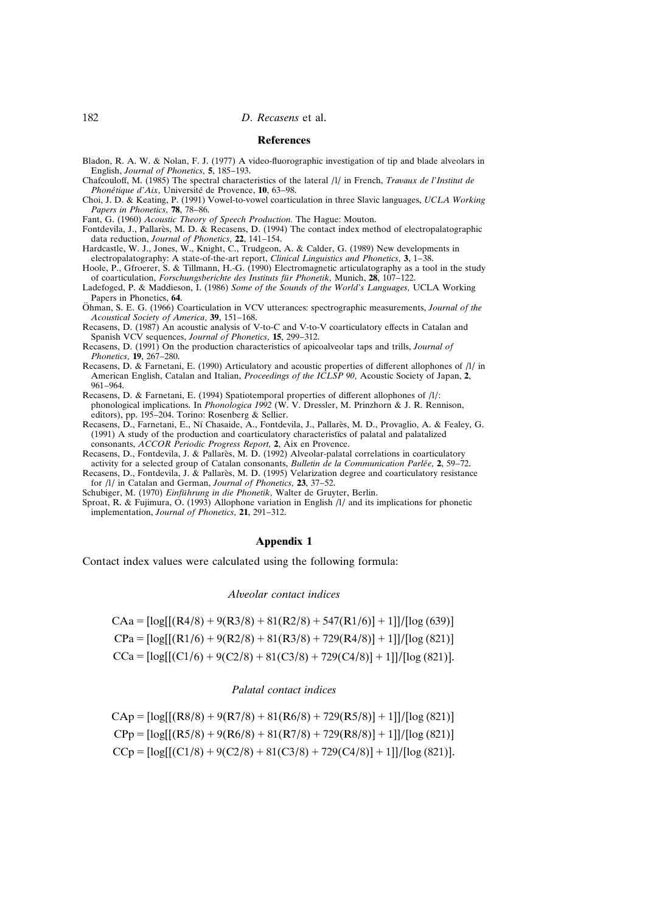#### **References**

- Bladon, R. A. W. & Nolan, F. J. (1977) A video-fluorographic investigation of tip and blade alveolars in English, *Journal of Phonetics*, 5, 185-193.
- Chafcouloff, M. (1985) The spectral characteristics of the lateral /l/ in French, *Travaux de l'Institut de Phonétique d'Aix*, Université de Provence, 10, 63-98.
- Choi , J . D . & Keating , P . (1991) Vowel-to-vowel coarticulation in three Slavic languages , *UCLA Working Papers in Phonetics*, **78**, 78-86.
- Fant, G. (1960) *Acoustic Theory of Speech Production*. The Hague: Mouton.
- Fontdevila, J., Pallares, M. D. & Recasens, D. (1994) The contact index method of electropalatographic data reduction, Journal of Phonetics, 22, 141-154.
- Hardcastle, W. J., Jones, W., Knight, C., Trudgeon, A. & Calder, G. (1989) New developments in electropalatography: A state-of-the-art report, *Clinical Linguistics and Phonetics*, 3, 1–38.
- Hoole, P., Gfroerer, S. & Tillmann, H.-G. (1990) Electromagnetic articulatography as a tool in the study of coarticulation, *Forschungsberichte des Instituts für Phonetik*, Munich, 28, 107-122.
- Ladefoged, P. & Maddieson, I. (1986) *Some of the Sounds of the World's Languages*, UCLA Working Papers in Phonetics, 64.
- O¨ hman , S . E . G . (1966) Coarticulation in VCV utterances : spectrographic measurements , *Journal of the Acoustical Society of America ,* **39** , 151 – 168 .

Recasens, D. (1987) An acoustic analysis of V-to-C and V-to-V coarticulatory effects in Catalan and Spanish VCV sequences, *Journal of Phonetics*, 15, 299-312.

- Recasens , D . (1991) On the production characteristics of apicoalveolar taps and trills , *Journal of Phonetics*, **19**, 267-280.
- Recasens, D. & Farnetani, E. (1990) Articulatory and acoustic properties of different allophones of /l/ in American English, Catalan and Italian, *Proceedings of the ICLSP 90*, Acoustic Society of Japan, 2, 961-964.
- Recasens, D. & Farnetani, E. (1994) Spatiotemporal properties of different allophones of  $/1$ : phonological implications. In *Phonologica 1992* (W. V. Dressler, M. Prinzhorn & J. R. Rennison, editors), pp. 195-204. Torino: Rosenberg & Sellier.
- Recasens, D., Farnetani, E., Ní Chasaide, A., Fontdevila, J., Pallarès, M. D., Provaglio, A. & Fealey, G. (1991) A study of the production and coarticulatory characteristics of palatal and palatalized consonants, *ACCOR Periodic Progress Report*, 2, Aix en Provence.
- Recasens, D., Fontdevila, J. & Pallarès, M. D. (1992) Alveolar-palatal correlations in coarticulatory activity for a selected group of Catalan consonants, *Bulletin de la Communication Parlée*, 2, 59-72.
- Recasens, D., Fontdevila, J. & Pallares, M. D. (1995) Velarization degree and coarticulatory resistance for /1/ in Catalan and German, *Journal of Phonetics*, 23, 37-52.

Schubiger, M. (1970) *Einführung in die Phonetik*, Walter de Gruyter, Berlin.

Sproat, R. & Fujimura, O. (1993) Allophone variation in English  $11/$  and its implications for phonetic implementation, *Journal of Phonetics*, 21, 291-312.

#### **Appendix 1**

Contact index values were calculated using the following formula :

#### *Al*y *eolar contact indices*

$$
CAa = [log[[(R4/8) + 9(R3/8) + 81(R2/8) + 547(R1/6)] + 1]] / [log (639)]
$$
  
\n
$$
CPa = [log[[(R1/6) + 9(R2/8) + 81(R3/8) + 729(R4/8)] + 1]] / [log (821)]
$$
  
\n
$$
CCa = [log[[(C1/6) + 9(C2/8) + 81(C3/8) + 729(C4/8)] + 1]] / [log (821)].
$$

#### *Palatal contact indices*

$$
CAP = [log[[(R8/8) + 9(R7/8) + 81(R6/8) + 729(R5/8)] + 1]] / [log (821)]
$$
  
\n
$$
CPp = [log[[(R5/8) + 9(R6/8) + 81(R7/8) + 729(R8/8)] + 1]] / [log (821)]
$$
  
\n
$$
CCp = [log[[(C1/8) + 9(C2/8) + 81(C3/8) + 729(C4/8)] + 1]] / [log (821)].
$$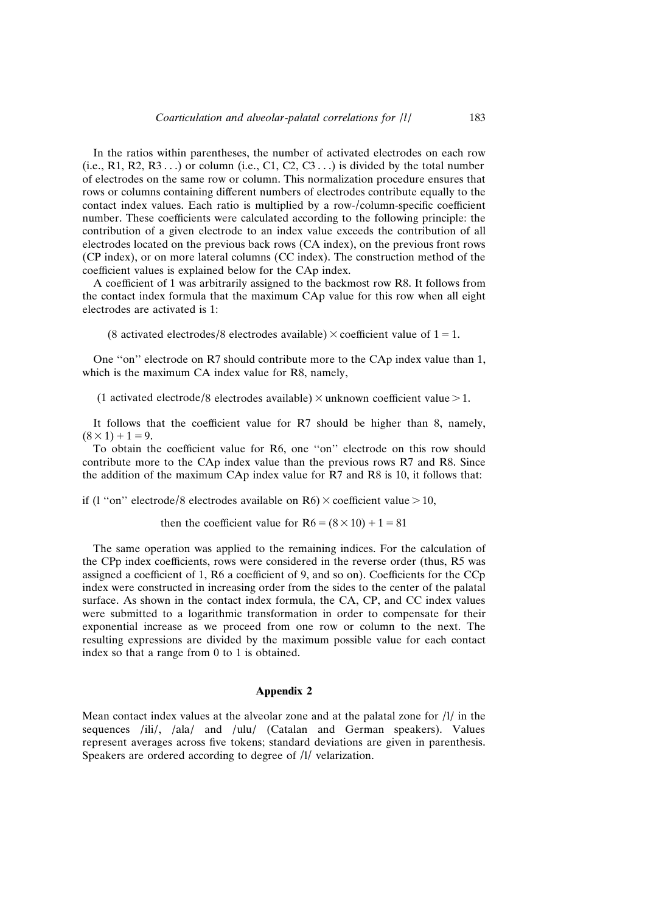In the ratios within parentheses, the number of activated electrodes on each row  $(i.e., R1, R2, R3...)$  or column  $(i.e., C1, C2, C3...)$  is divided by the total number of electrodes on the same row or column . This normalization procedure ensures that rows or columns containing different numbers of electrodes contribute equally to the contact index values. Each ratio is multiplied by a row-/column-specific coefficient number. These coefficients were calculated according to the following principle: the contribution of a given electrode to an index value exceeds the contribution of all electrodes located on the previous back rows (CA index), on the previous front rows (CP index) , or on more lateral columns (CC index) . The construction method of the coefficient values is explained below for the CAp index.

A coefficient of 1 was arbitrarily assigned to the backmost row R8. It follows from the contact index formula that the maximum CAp value for this row when all eight electrodes are activated is 1:

(8 activated electrodes/8 electrodes available)  $\times$  coefficient value of 1 = 1.

One "on" electrode on R7 should contribute more to the CAp index value than 1, which is the maximum CA index value for R8, namely,

(1 activated electrode/8 electrodes available)  $\times$  unknown coefficient value  $>1$ .

It follows that the coefficient value for  $R7$  should be higher than 8, namely,  $(8 \times 1) + 1 = 9$ .

To obtain the coefficient value for R6, one "on" electrode on this row should contribute more to the CAp index value than the previous rows R7 and R8 . Since the addition of the maximum CAp index value for R7 and R8 is 10, it follows that:

if (1 "on" electrode/8 electrodes available on  $R6$ )  $\times$  coefficient value  $>$  10,

then the coefficient value for  $R6 = (8 \times 10) + 1 = 81$ 

 The same operation was applied to the remaining indices . For the calculation of the CPp index coefficients, rows were considered in the reverse order (thus, R5 was assigned a coefficient of 1, R6 a coefficient of 9, and so on). Coefficients for the CCp index were constructed in increasing order from the sides to the center of the palatal surface. As shown in the contact index formula, the CA, CP, and CC index values were submitted to a logarithmic transformation in order to compensate for their exponential increase as we proceed from one row or column to the next. The resulting expressions are divided by the maximum possible value for each contact index so that a range from 0 to 1 is obtained.

## **Appendix 2**

Mean contact index values at the alveolar zone and at the palatal zone for  $\frac{1}{i}$  in the sequences /ili/, /ala/ and /ulu/ (Catalan and German speakers). Values represent averages across five tokens; standard deviations are given in parenthesis. Speakers are ordered according to degree of /l/ velarization.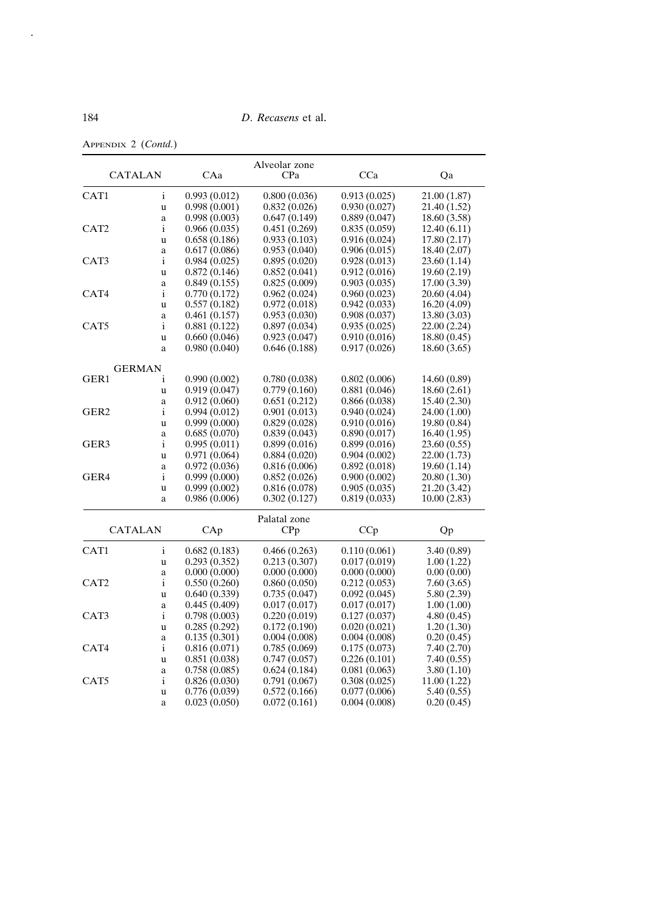APPENDIX 2 (*Contd.*)

|                  | <b>CATALAN</b>    | CAa                          | Alveolar zone<br>CPa         | CCa                          | Qa                         |
|------------------|-------------------|------------------------------|------------------------------|------------------------------|----------------------------|
| CAT <sub>1</sub> | $\mathbf{i}$      | 0.993(0.012)                 | 0.800(0.036)                 | 0.913(0.025)                 | 21.00(1.87)                |
|                  | u                 | 0.998(0.001)                 | 0.832(0.026)                 | 0.930 (0.027)                | 21.40 (1.52)               |
|                  | a                 | 0.998(0.003)                 | 0.647(0.149)                 | 0.889(0.047)                 | 18.60 (3.58)               |
| CAT <sub>2</sub> | i                 | 0.966(0.035)                 | 0.451(0.269)                 | 0.835(0.059)                 | 12.40(6.11)                |
|                  | u                 | 0.658(0.186)                 | 0.933(0.103)                 | 0.916(0.024)                 | 17.80(2.17)                |
|                  | a                 | 0.617(0.086)                 | 0.953(0.040)                 | 0.906(0.015)                 | 18.40 (2.07)               |
| CAT3             | i                 | 0.984(0.025)                 | 0.895(0.020)                 | 0.928(0.013)                 | 23.60 (1.14)               |
|                  | u                 | 0.872(0.146)                 | 0.852(0.041)                 | 0.912(0.016)                 | 19.60(2.19)                |
|                  | a                 | 0.849(0.155)                 | 0.825(0.009)                 | 0.903(0.035)                 | 17.00(3.39)                |
| CAT <sub>4</sub> | i                 | 0.770(0.172)                 | 0.962(0.024)                 | 0.960(0.023)                 | 20.60 (4.04)               |
|                  | u                 | 0.557(0.182)                 | 0.972(0.018)                 | 0.942(0.033)                 | 16.20(4.09)                |
|                  | a                 | 0.461(0.157)                 | 0.953(0.030)                 | 0.908(0.037)                 | 13.80(3.03)                |
| CAT <sub>5</sub> | i                 | 0.881(0.122)                 | 0.897(0.034)                 | 0.935(0.025)                 | 22.00(2.24)                |
|                  | u                 | 0.660(0.046)                 | 0.923(0.047)                 | 0.910(0.016)                 | 18.80(0.45)                |
|                  | a                 | 0.980(0.040)                 | 0.646(0.188)                 | 0.917(0.026)                 | 18.60 (3.65)               |
|                  | <b>GERMAN</b>     |                              |                              |                              |                            |
| GER1             | i                 | 0.990(0.002)                 | 0.780(0.038)                 | 0.802(0.006)                 | 14.60(0.89)                |
|                  | u                 | 0.919(0.047)                 | 0.779(0.160)                 | 0.881(0.046)                 | 18.60(2.61)                |
|                  | a                 | 0.912(0.060)                 | 0.651(0.212)                 | 0.866(0.038)                 | 15.40(2.30)                |
| GER <sub>2</sub> | i                 | 0.994(0.012)                 | 0.901(0.013)                 | 0.940(0.024)                 | 24.00 (1.00)               |
|                  | u                 | 0.999(0.000)                 | 0.829(0.028)                 | 0.910(0.016)                 | 19.80 (0.84)               |
|                  | a                 | 0.685(0.070)                 | 0.839(0.043)                 | 0.890(0.017)                 | 16.40 (1.95)               |
| GER <sub>3</sub> | i                 | 0.995(0.011)                 | 0.899(0.016)                 | 0.899(0.016)                 | 23.60 (0.55)               |
|                  | u                 | 0.971(0.064)                 | 0.884(0.020)                 | 0.904(0.002)                 | 22.00 (1.73)               |
|                  | a                 | 0.972(0.036)                 | 0.816(0.006)                 | 0.892(0.018)                 | 19.60 (1.14)               |
| GER4             | $\mathbf{i}$      | 0.999(0.000)                 | 0.852(0.026)                 | 0.900(0.002)                 | 20.80 (1.30)               |
|                  | u                 | 0.999(0.002)                 | 0.816(0.078)                 | 0.905(0.035)                 | 21.20 (3.42)               |
|                  | a                 | 0.986(0.006)                 | 0.302(0.127)                 | 0.819 (0.033)                | 10.00(2.83)                |
|                  |                   |                              | Palatal zone                 |                              |                            |
|                  | <b>CATALAN</b>    | CAp                          | CPp                          | CCp                          | <b>Qp</b>                  |
| CAT1             | i                 | 0.682(0.183)                 | 0.466(0.263)                 | 0.110(0.061)                 | 3.40(0.89)                 |
|                  | u                 | 0.293(0.352)                 | 0.213(0.307)                 | 0.017 (0.019)                | 1.00(1.22)                 |
|                  | a                 | 0.000(0.000)                 | 0.000(0.000)                 | 0.000(0.000)                 | 0.00(0.00)                 |
| CAT <sub>2</sub> | $\mathbf{i}$      | 0.550(0.260)                 | 0.860(0.050)                 | 0.212(0.053)                 | 7.60(3.65)                 |
|                  | u                 | 0.640(0.339)                 | 0.735(0.047)                 | 0.092(0.045)                 | 5.80 (2.39)                |
|                  | a                 | 0.445(0.409)                 | 0.017(0.017)                 | 0.017(0.017)                 | 1.00(1.00)                 |
| CAT3             | $\mathbf{i}$      | 0.798(0.003)                 | 0.220(0.019)                 | 0.127(0.037)                 | 4.80 (0.45)                |
|                  | u                 | 0.285(0.292)                 | 0.172(0.190)                 | 0.020(0.021)                 | 1.20(1.30)                 |
|                  | a                 | 0.135(0.301)                 | 0.004(0.008)                 | 0.004(0.008)                 | 0.20(0.45)                 |
| CAT <sub>4</sub> | i                 | 0.816(0.071)                 | 0.785(0.069)                 | 0.175(0.073)                 | 7.40 (2.70)                |
|                  | u                 | 0.851(0.038)                 | 0.747(0.057)<br>0.624(0.184) | 0.226(0.101)<br>0.081(0.063) | 7.40 (0.55)<br>3.80 (1.10) |
| CAT <sub>5</sub> | a<br>$\mathbf{i}$ | 0.758(0.085)<br>0.826(0.030) | 0.791(0.067)                 | 0.308(0.025)                 | 11.00 (1.22)               |
|                  | u                 | 0.776(0.039)                 | 0.572(0.166)<br>0.077(0.006) | 5.40 (0.55)                  |                            |
|                  | a                 | 0.023(0.050)                 | 0.072(0.161)                 | 0.004(0.008)                 | 0.20(0.45)                 |

 $\bar{z}$